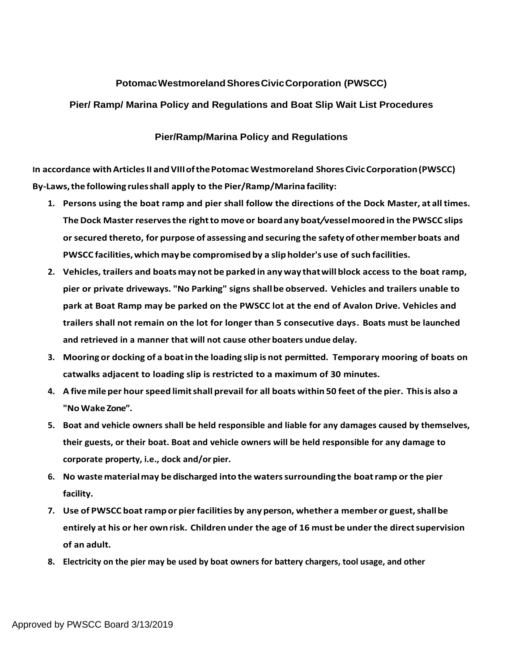## **PotomacWestmorelandShoresCivicCorporation (PWSCC)**

## **Pier/ Ramp/ Marina Policy and Regulations and Boat Slip Wait List Procedures**

## **Pier/Ramp/Marina Policy and Regulations**

**In accordance withArticlesII andVIIIofthePotomac Westmoreland ShoresCivicCorporation(PWSCC) By-Laws,the following rulesshall apply to the Pier/Ramp/Marina facility:**

- **1. Persons using the boat ramp and pier shall follow the directions of the Dock Master, at all times. TheDock Master reservesthe rightto move or boardany boat***/***vesselmoored in the PWSCC slips orsecured thereto, for purpose of assessing and securing the safetyof othermemberboats and PWSCC facilities,which maybe compromised by a slip holder's use of such facilities.**
- **2. Vehicles, trailers and boats may not be parked in any way thatwillblock access to the boat ramp, pier or private driveways. "No Parking" signs shallbe observed. Vehicles and trailers unable to park at Boat Ramp may be parked on the PWSCC lot at the end of Avalon Drive. Vehicles and trailers shall not remain on the lot for longer than 5 consecutive days. Boats must be launched and retrieved in a manner that will not cause other boaters undue delay.**
- **3. Mooring or docking of a boatin the loading slip is not permitted. Temporary mooring of boats on catwalks adjacent to loading slip is restricted to a maximum of 30 minutes.**
- **4. A fivemileper hourspeed limitshall prevail for all boats within 50 feet of the pier. Thisis also a "No Wake Zone".**
- **5. Boat and vehicle owners shall be held responsible and liable for any damages caused by themselves, their guests, or their boat. Boat and vehicle owners will be held responsible for any damage to corporate property, i.e., dock and/or pier.**
- **6. No wastematerialmay be discharged into the waterssurrounding the boatramp or the pier facility.**
- **7. Use of PWSCC boatrampor pierfacilities by any person, whether a member or guest,shallbe entirely at his or her own risk. Children under the age of 16 must be underthe directsupervision of an adult.**
- **8. Electricity on the pier may be used by boat owners for battery chargers, tool usage, and other**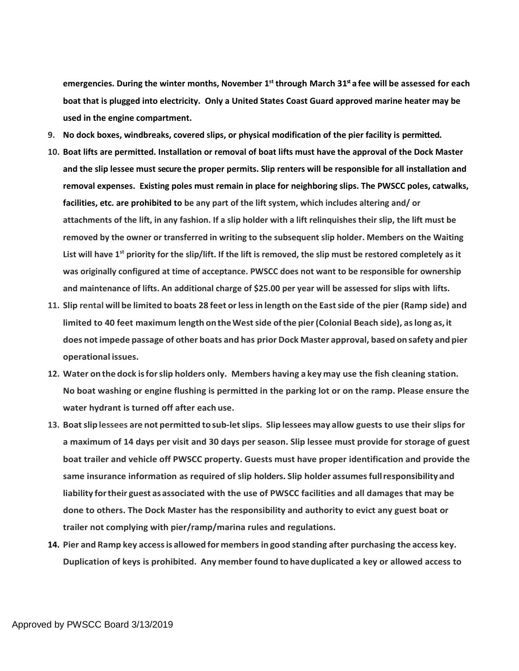**emergencies. During the winter months, November 1 st through March 31 st afee will be assessed for each boat that is plugged into electricity. Only a United States Coast Guard approved marine heater may be used in the engine compartment.**

- **9. No dock boxes, windbreaks, covered slips, or physical modification of the pier facility is permitted.**
- **10. Boat lifts are permitted. Installation or removal of boat lifts must have the approval of the Dock Master and the slip lessee must secure the proper permits. Slip renters will be responsible for all installation and removal expenses. Existing poles must remain in place for neighboring slips. The PWSCC poles, catwalks, facilities, etc. are prohibited to be any part of the lift system, which includes altering and/ or attachments of the lift, in any fashion. If a slip holder with a lift relinquishes their slip, the lift must be removed by the owner or transferred in writing to the subsequent slip holder. Members on the Waiting List will have 1st priority for the slip/lift. If the lift is removed, the slip must be restored completely as it was originally configured at time of acceptance. PWSCC does not want to be responsible for ownership and maintenance of lifts. An additional charge of \$25.00 per year will be assessed for slips with lifts.**
- **11. Slip rental will be limited to boats 28 feet orlessin length on the Eastside of the pier (Ramp side) and limited to 40 feet maximum length ontheWestside ofthe pier(Colonial Beach side), aslong as,it does notimpede passage of other boats and has prior Dock Master approval, based onsafety andpier operational issues.**
- **12. Water onthe dock isforslip holders only. Members having a key may use the fish cleaning station. No boat washing or engine flushing is permitted in the parking lot or on the ramp. Please ensure the water hydrant is turned off after each use.**
- **13. Boatslip lessees are not permitted tosub-letslips. Slip lessees may allow guests to use their slips for a maximum of 14 days per visit and 30 days per season. Slip lessee must provide for storage of guest boat trailer and vehicle off PWSCC property. Guests must have proper identification and provide the same insurance information as required of slip holders. Slip holder assumesfullresponsibilityand liability fortheir guest asassociated with the use of PWSCC facilities and all damages that may be done to others. The Dock Master has the responsibility and authority to evict any guest boat or trailer not complying with pier/ramp/marina rules and regulations.**
- **14. Pier and Ramp key accessis allowed for members in good standing after purchasing the access key. Duplication of keys is prohibited. Any member found to have duplicated a key or allowed access to**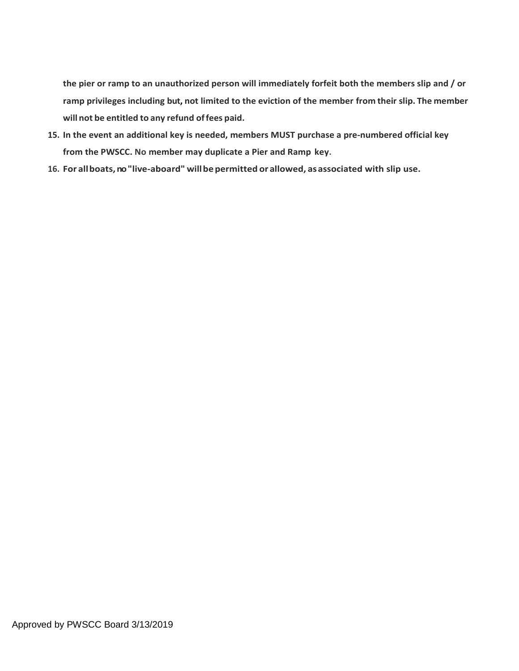**the pier or ramp to an unauthorized person will immediately forfeit both the members slip and / or ramp privileges including but, not limited to the eviction of the member from their slip. The member will not be entitled to any refund offees paid.**

- **15. In the event an additional key is needed, members MUST purchase a pre-numbered official key from the PWSCC. No member may duplicate a Pier and Ramp key.**
- **16. For allboats,no"live-aboard" willbepermitted or allowed, asassociated with slip use.**